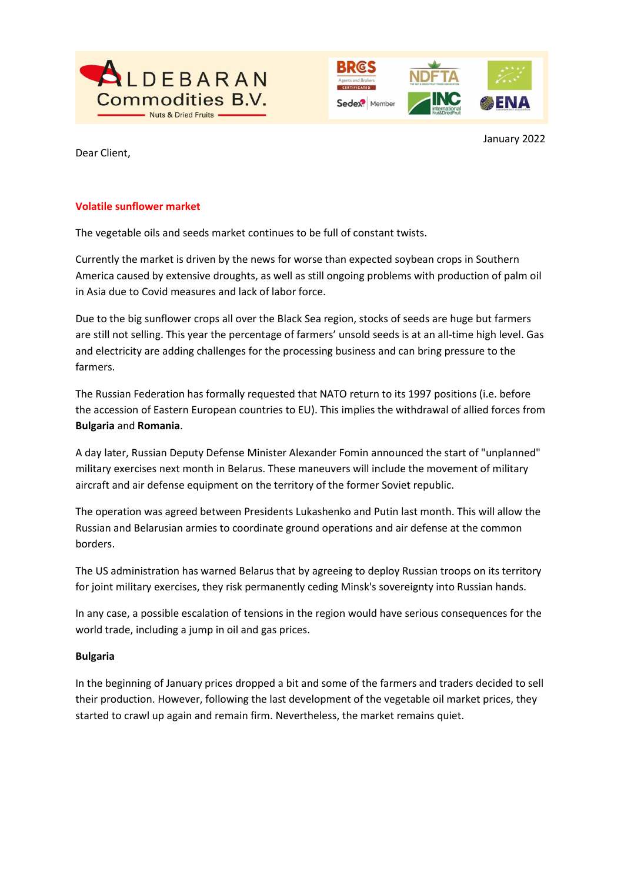



Dear Client,

January 2022

## Volatile sunflower market

The vegetable oils and seeds market continues to be full of constant twists.

Currently the market is driven by the news for worse than expected soybean crops in Southern America caused by extensive droughts, as well as still ongoing problems with production of palm oil in Asia due to Covid measures and lack of labor force.

Due to the big sunflower crops all over the Black Sea region, stocks of seeds are huge but farmers are still not selling. This year the percentage of farmers' unsold seeds is at an all-time high level. Gas and electricity are adding challenges for the processing business and can bring pressure to the farmers.

The Russian Federation has formally requested that NATO return to its 1997 positions (i.e. before the accession of Eastern European countries to EU). This implies the withdrawal of allied forces from Bulgaria and Romania.

A day later, Russian Deputy Defense Minister Alexander Fomin announced the start of "unplanned" military exercises next month in Belarus. These maneuvers will include the movement of military aircraft and air defense equipment on the territory of the former Soviet republic.

The operation was agreed between Presidents Lukashenko and Putin last month. This will allow the Russian and Belarusian armies to coordinate ground operations and air defense at the common borders.

The US administration has warned Belarus that by agreeing to deploy Russian troops on its territory for joint military exercises, they risk permanently ceding Minsk's sovereignty into Russian hands.

In any case, a possible escalation of tensions in the region would have serious consequences for the world trade, including a jump in oil and gas prices.

#### Bulgaria

In the beginning of January prices dropped a bit and some of the farmers and traders decided to sell their production. However, following the last development of the vegetable oil market prices, they started to crawl up again and remain firm. Nevertheless, the market remains quiet.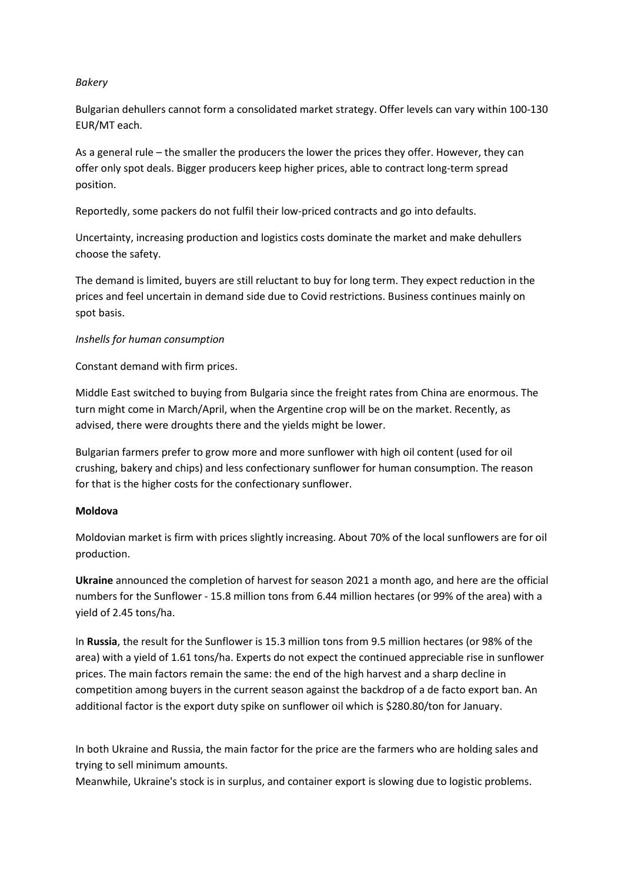## Bakery

Bulgarian dehullers cannot form a consolidated market strategy. Offer levels can vary within 100-130 EUR/MT each.

As a general rule – the smaller the producers the lower the prices they offer. However, they can offer only spot deals. Bigger producers keep higher prices, able to contract long-term spread position.

Reportedly, some packers do not fulfil their low-priced contracts and go into defaults.

Uncertainty, increasing production and logistics costs dominate the market and make dehullers choose the safety.

The demand is limited, buyers are still reluctant to buy for long term. They expect reduction in the prices and feel uncertain in demand side due to Covid restrictions. Business continues mainly on spot basis.

## Inshells for human consumption

Constant demand with firm prices.

Middle East switched to buying from Bulgaria since the freight rates from China are enormous. The turn might come in March/April, when the Argentine crop will be on the market. Recently, as advised, there were droughts there and the yields might be lower.

Bulgarian farmers prefer to grow more and more sunflower with high oil content (used for oil crushing, bakery and chips) and less confectionary sunflower for human consumption. The reason for that is the higher costs for the confectionary sunflower.

#### Moldova

Moldovian market is firm with prices slightly increasing. About 70% of the local sunflowers are for oil production.

Ukraine announced the completion of harvest for season 2021 a month ago, and here are the official numbers for the Sunflower - 15.8 million tons from 6.44 million hectares (or 99% of the area) with a yield of 2.45 tons/ha.

In Russia, the result for the Sunflower is 15.3 million tons from 9.5 million hectares (or 98% of the area) with a yield of 1.61 tons/ha. Experts do not expect the continued appreciable rise in sunflower prices. The main factors remain the same: the end of the high harvest and a sharp decline in competition among buyers in the current season against the backdrop of a de facto export ban. An additional factor is the export duty spike on sunflower oil which is \$280.80/ton for January.

In both Ukraine and Russia, the main factor for the price are the farmers who are holding sales and trying to sell minimum amounts.

Meanwhile, Ukraine's stock is in surplus, and container export is slowing due to logistic problems.